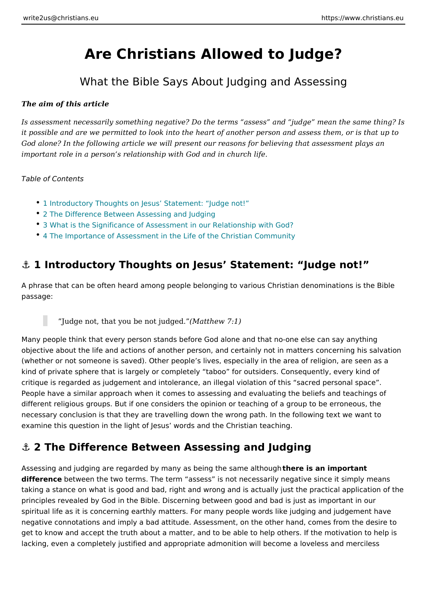# Are Christians Allowed to Judge?

## What the Bible Says About Judging and Asses

The aim of this article

Is assessment necessarily something negative? Do the terms assess and judge it possible and are we permitted to look into the heart of another person and ass God alone? In the following article we will present our reasons for believing tha important role in a person s relationship with God and in church life.

Table of Contents

- 1 Introductory Thoughts on Jesus Statement: Judge not!
- 2 The Difference Between Assessing and Judging
- [3 What is the Significance of Assessment in our R](#page-2-0)elationship with God?
- [4 The Importance of Assessment in the Life of the](#page-3-0) Christian Community

### & 1 Introductory Thoughts on Jesus Statement: Judge r

A phrase that can be often heard among people belonging to various Christian denominations passage:

### Judge not, that you be not  $M$ jautd  $\mathbf{g} \in \mathcal{M}$ . 7:1)

Many people think that every person stands before God alone and that no-one el objective about the life and actions of another person, and certainly not in matter (whether or not someone is saved). Other people s lives, especially in the area kind of private sphere that is largely or completely taboo for outsiders. Consed critique is regarded as judgement and intolerance, an illegal violation of this sacred personal space . People have a similar approach when it comes to assessing and evaluating the b different religious groups. But if one considers the opinion or teaching of a grou necessary conclusion is that they are travelling down the wrong path. In the foll examine this question in the light of Jesus words and the Christian teaching.

### &" 2 The Difference Between Assessing and Judging

Assessing and judging are regarded by many as beinton et issame ison phoror tagnht differencbetween the two terms. The term assess is not necessarily negative si taking a stance on what is good and bad, right and wrong and is actually just the principles revealed by God in the Bible. Discerning between good and bad is jus spiritual life as it is concerning earthly matters. For many people words like jud negative connotations and imply a bad attitude. Assessment, on the other hand, get to know and accept the truth about a matter, and to be able to help others. I lacking, even a completely justified and appropriate admonition will become a lo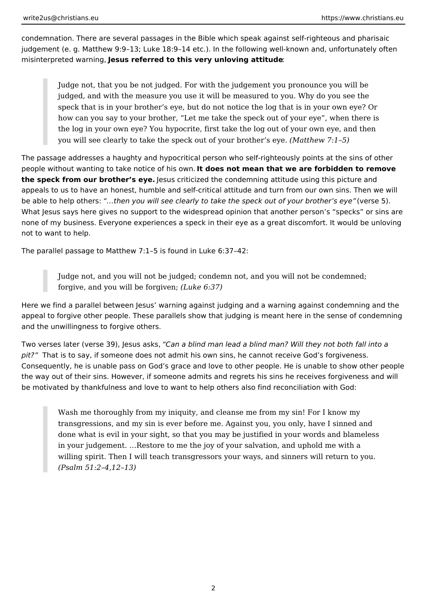condemnation. There are several passages in the Bible which speak against self-righteous and pharisaic judgement (e. g. Matthew 9:9–13; Luke 18:9–14 etc.). In the following well-known and, unfortunately often misinterpreted warning, **Jesus referred to this very unloving attitude**:

Judge not, that you be not judged. For with the judgement you pronounce you will be judged, and with the measure you use it will be measured to you. Why do you see the speck that is in your brother's eye, but do not notice the log that is in your own eye? Or how can you say to your brother, "Let me take the speck out of your eye", when there is the log in your own eye? You hypocrite, first take the log out of your own eye, and then you will see clearly to take the speck out of your brother's eye. *(Matthew 7:1–5)*

The passage addresses a haughty and hypocritical person who self-righteously points at the sins of other people without wanting to take notice of his own. **It does not mean that we are forbidden to remove the speck from our brother's eye.** Jesus criticized the condemning attitude using this picture and appeals to us to have an honest, humble and self-critical attitude and turn from our own sins. Then we will be able to help others: *"…then you will see clearly to take the speck out of your brother's eye"* (verse 5). What Jesus says here gives no support to the widespread opinion that another person's "specks" or sins are none of my business. Everyone experiences a speck in their eye as a great discomfort. It would be unloving not to want to help.

The parallel passage to Matthew 7:1–5 is found in Luke 6:37–42:

Judge not, and you will not be judged; condemn not, and you will not be condemned; forgive, and you will be forgiven; *(Luke 6:37)*

Here we find a parallel between Jesus' warning against judging and a warning against condemning and the appeal to forgive other people. These parallels show that judging is meant here in the sense of condemning and the unwillingness to forgive others.

Two verses later (verse 39), Jesus asks, *"Can a blind man lead a blind man? Will they not both fall into a pit?"* That is to say, if someone does not admit his own sins, he cannot receive God's forgiveness. Consequently, he is unable pass on God's grace and love to other people. He is unable to show other people the way out of their sins. However, if someone admits and regrets his sins he receives forgiveness and will be motivated by thankfulness and love to want to help others also find reconciliation with God:

Wash me thoroughly from my iniquity, and cleanse me from my sin! For I know my transgressions, and my sin is ever before me. Against you, you only, have I sinned and done what is evil in your sight, so that you may be justified in your words and blameless in your judgement. …Restore to me the joy of your salvation, and uphold me with a willing spirit. Then I will teach transgressors your ways, and sinners will return to you. *(Psalm 51:2–4,12–13)*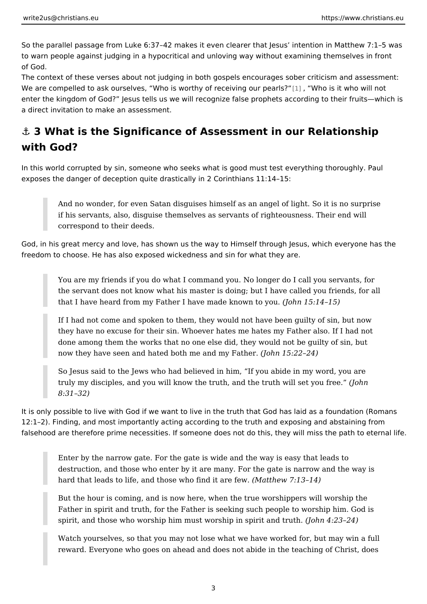<span id="page-2-0"></span>So the parallel passage from Luke 6:37 42 makes it even clearer that Jesus inte to warn people against judging in a hypocritical and unloving way without examin of God.

The context of these verses about not judging in both gospels encourages sober We are compelled to ask ourselves, Who is worthy of [re](#page-5-0)ce Whin ogisput webser whill not enter the kingdom of God? Jesus tells us we will recognize false prophets accor a direct invitation to make an assessment.

# &" 3 What is the Significance of Assessment in our Relati with God?

In this world corrupted by sin, someone who seeks what is good must test everyt exposes the danger of deception quite drastically in 2 Corinthians 11:14 15:

And no wonder, for even Satan disguises himself as an angel of light. S if his servants, also, disguise themselves as servants of righteousness. correspond to their deeds.

God, in his great mercy and love, has shown us the way to Himself through Jesu freedom to choose. He has also exposed wickedness and sin for what they are.

You are my friends if you do what I command you. No longer do I call you the servant does not know what his master is doing; but I have called y that I have heard from my Father I have made okhomo w  $5:104$  yiosu).

If I had not come and spoken to them, they would not have been guilty of they have no excuse for their sin. Whoever hates me hates my Father al done among them the works that no one else did, they would not be quil now they have seen and hated both me  $\phi$ dolm y 15:22 224)

So Jesus said to the Jews who had believed in him, If you abide in my truly my disciples, and you will know the truth, and the t(Johnwill set yo 8:31 32)

It is only possible to live with God if we want to live in the truth that God has la 12:1 2). Finding, and most importantly acting according to the truth and exposin falsehood are therefore prime necessities. If someone does not do this, they wil

Enter by the narrow gate. For the gate is wide and the way is easy that destruction, and those who enter by it are many. For the gate is narrow hard that leads to life, and those who (find that  $\vec{a}$ : fleaved 14)

But the hour is coming, and is now here, when the true worshippers will Father in spirit and truth, for the Father is seeking such people to wors spirit, and those who worship him must worship i(n) oshprifilt:  $2a$  3nd  $24$  ) uth.

Watch yourselves, so that you may not lose what we have worked for, be reward. Everyone who goes on ahead and does not abide in the teaching

3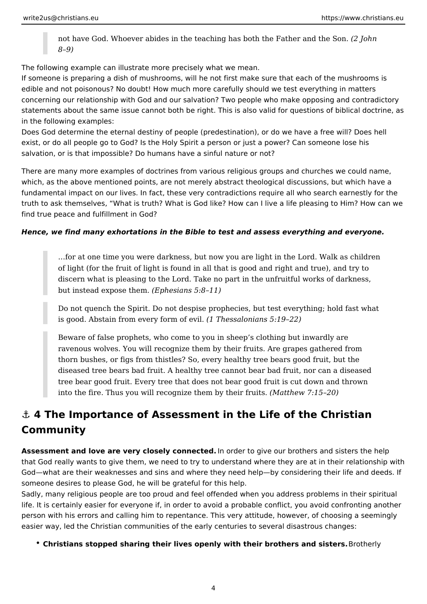<span id="page-3-0"></span>not have God. Whoever abides in the teaching has both the Father and the Son. *(2 John 8–9)*

The following example can illustrate more precisely what we mean.

If someone is preparing a dish of mushrooms, will he not first make sure that each of the mushrooms is edible and not poisonous? No doubt! How much more carefully should we test everything in matters concerning our relationship with God and our salvation? Two people who make opposing and contradictory statements about the same issue cannot both be right. This is also valid for questions of biblical doctrine, as in the following examples:

Does God determine the eternal destiny of people (predestination), or do we have a free will? Does hell exist, or do all people go to God? Is the Holy Spirit a person or just a power? Can someone lose his salvation, or is that impossible? Do humans have a sinful nature or not?

There are many more examples of doctrines from various religious groups and churches we could name, which, as the above mentioned points, are not merely abstract theological discussions, but which have a fundamental impact on our lives. In fact, these very contradictions require all who search earnestly for the truth to ask themselves, "What is truth? What is God like? How can I live a life pleasing to Him? How can we find true peace and fulfillment in God?

### *Hence, we find many exhortations in the Bible to test and assess everything and everyone.*

…for at one time you were darkness, but now you are light in the Lord. Walk as children of light (for the fruit of light is found in all that is good and right and true), and try to discern what is pleasing to the Lord. Take no part in the unfruitful works of darkness, but instead expose them. *(Ephesians 5:8–11)*

Do not quench the Spirit. Do not despise prophecies, but test everything; hold fast what is good. Abstain from every form of evil. *(1 Thessalonians 5:19–22)*

Beware of false prophets, who come to you in sheep's clothing but inwardly are ravenous wolves. You will recognize them by their fruits. Are grapes gathered from thorn bushes, or figs from thistles? So, every healthy tree bears good fruit, but the diseased tree bears bad fruit. A healthy tree cannot bear bad fruit, nor can a diseased tree bear good fruit. Every tree that does not bear good fruit is cut down and thrown into the fire. Thus you will recognize them by their fruits. *(Matthew 7:15–20)*

# **⚓ 4 The Importance of Assessment in the Life of the Christian Community**

**Assessment and love are very closely connected.** In order to give our brothers and sisters the help that God really wants to give them, we need to try to understand where they are at in their relationship with God—what are their weaknesses and sins and where they need help—by considering their life and deeds. If someone desires to please God, he will be grateful for this help.

Sadly, many religious people are too proud and feel offended when you address problems in their spiritual life. It is certainly easier for everyone if, in order to avoid a probable conflict, you avoid confronting another person with his errors and calling him to repentance. This very attitude, however, of choosing a seemingly easier way, led the Christian communities of the early centuries to several disastrous changes:

**Christians stopped sharing their lives openly with their brothers and sisters.** Brotherly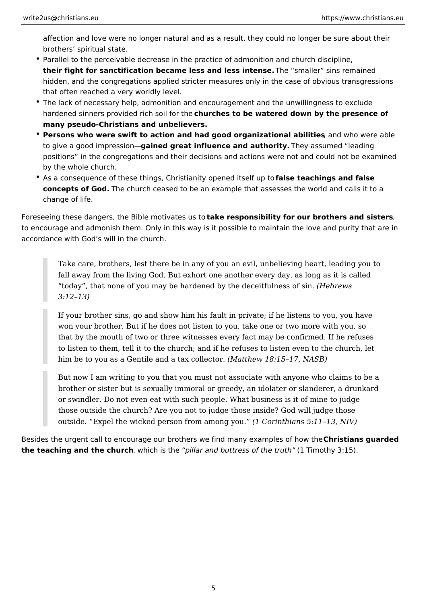affection and love were no longer natural and as a result, they could no longer be sure about their brothers' spiritual state.

- Parallel to the perceivable decrease in the practice of admonition and church discipline, **their fight for sanctification became less and less intense.** The "smaller" sins remained hidden, and the congregations applied stricter measures only in the case of obvious transgressions that often reached a very worldly level.
- The lack of necessary help, admonition and encouragement and the unwillingness to exclude hardened sinners provided rich soil for the **churches to be watered down by the presence of many pseudo-Christians and unbelievers.**
- **Persons who were swift to action and had good organizational abilities**, and who were able to give a good impression—**gained great influence and authority.** They assumed "leading positions" in the congregations and their decisions and actions were not and could not be examined by the whole church.
- As a consequence of these things, Christianity opened itself up to **false teachings and false concepts of God.** The church ceased to be an example that assesses the world and calls it to a change of life.

Foreseeing these dangers, the Bible motivates us to **take responsibility for our brothers and sisters**, to encourage and admonish them. Only in this way is it possible to maintain the love and purity that are in accordance with God's will in the church.

Take care, brothers, lest there be in any of you an evil, unbelieving heart, leading you to fall away from the living God. But exhort one another every day, as long as it is called "today", that none of you may be hardened by the deceitfulness of sin. *(Hebrews 3:12–13)*

If your brother sins, go and show him his fault in private; if he listens to you, you have won your brother. But if he does not listen to you, take one or two more with you, so that by the mouth of two or three witnesses every fact may be confirmed. If he refuses to listen to them, tell it to the church; and if he refuses to listen even to the church, let him be to you as a Gentile and a tax collector. *(Matthew 18:15–17, NASB)*

But now I am writing to you that you must not associate with anyone who claims to be a brother or sister but is sexually immoral or greedy, an idolater or slanderer, a drunkard or swindler. Do not even eat with such people. What business is it of mine to judge those outside the church? Are you not to judge those inside? God will judge those outside. "Expel the wicked person from among you." *(1 Corinthians 5:11–13, NIV)*

Besides the urgent call to encourage our brothers we find many examples of how the **Christians guarded the teaching and the church**, which is the *"pillar and buttress of the truth"* (1 Timothy 3:15).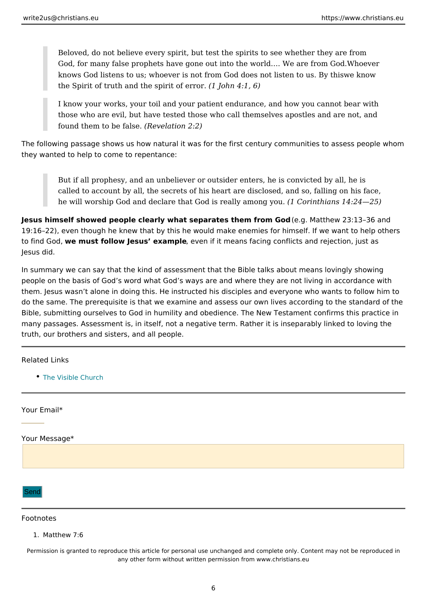<span id="page-5-0"></span>Beloved, do not believe every spirit, but test the spirits to see whether God, for many false prophets have gone out into the worlow and everare from knows God listens to us; whoever is not from God does not kinsoten to us. the Spirit of truth and the spirit  $\text{L}\alpha$  herright. 6)

I know your works, your toil and your patient endurance, and how you can those who are evil, but have tested those who call themselves apostles found them to be ( $\text{Rad}$  selation 2:2)

The following passage shows us how natural it was for the first century communi they wanted to help to come to repentance:

But if all prophesy, and an unbeliever or outsider enters, he is convicte called to account by all, the secrets of his heart are disclosed, and so, he will worship God and declare that God is  $r$ (da Clogram the hag n sy onlu4: 24 25)

Jesus himself showed people clearly what separates them gfrid anticheout 23:13 36 and 19:16 22), even though he knew that by this he would make enemies for himself. to find Gwe, must follow Jesus exaenvelme if it means facing conflicts and rejection Jesus did.

In summary we can say that the kind of assessment that the Bible talks about me people on the basis of God s word what God s ways are and where they are not I them. Jesus wasn t alone in doing this. He instructed his disciples and everyone do the same. The prerequisite is that we examine and assess our own lives acco Bible, submitting ourselves to God in humility and obedience. The New Testamen many passages. Assessment is, in itself, not a negative term. Rather it is insepa truth, our brothers and sisters, and all people.

#### Related Links

• [The Visible C](https://www.christians.eu/visible-church/)hurch

Your Email\*

Your Message\*

Send

#### Footnotes

1.Matthew 7:6

Permission is granted to reproduce this article for personal use unchanged and complete only. Content may any other form without written permission from www.christians.eu